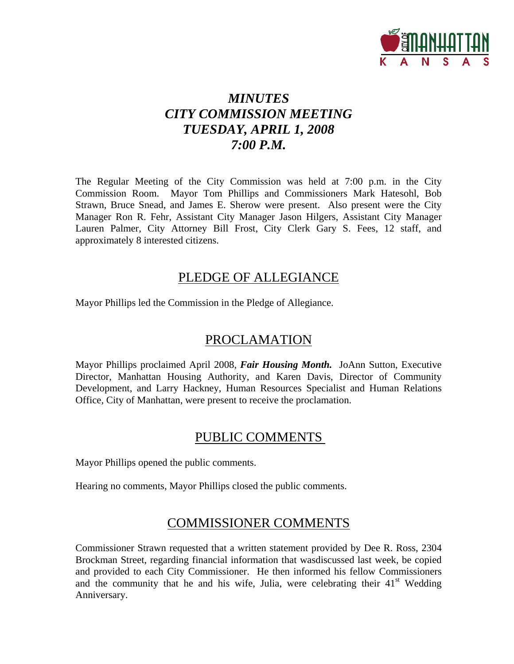

# *MINUTES CITY COMMISSION MEETING TUESDAY, APRIL 1, 2008 7:00 P.M.*

The Regular Meeting of the City Commission was held at 7:00 p.m. in the City Commission Room. Mayor Tom Phillips and Commissioners Mark Hatesohl, Bob Strawn, Bruce Snead, and James E. Sherow were present. Also present were the City Manager Ron R. Fehr, Assistant City Manager Jason Hilgers, Assistant City Manager Lauren Palmer, City Attorney Bill Frost, City Clerk Gary S. Fees, 12 staff, and approximately 8 interested citizens.

## PLEDGE OF ALLEGIANCE

Mayor Phillips led the Commission in the Pledge of Allegiance.

# PROCLAMATION

Mayor Phillips proclaimed April 2008, *Fair Housing Month.* JoAnn Sutton, Executive Director, Manhattan Housing Authority, and Karen Davis, Director of Community Development, and Larry Hackney, Human Resources Specialist and Human Relations Office, City of Manhattan, were present to receive the proclamation.

# PUBLIC COMMENTS

Mayor Phillips opened the public comments.

Hearing no comments, Mayor Phillips closed the public comments.

### COMMISSIONER COMMENTS

Commissioner Strawn requested that a written statement provided by Dee R. Ross, 2304 Brockman Street, regarding financial information that wasdiscussed last week, be copied and provided to each City Commissioner. He then informed his fellow Commissioners and the community that he and his wife, Julia, were celebrating their  $41<sup>st</sup>$  Wedding Anniversary.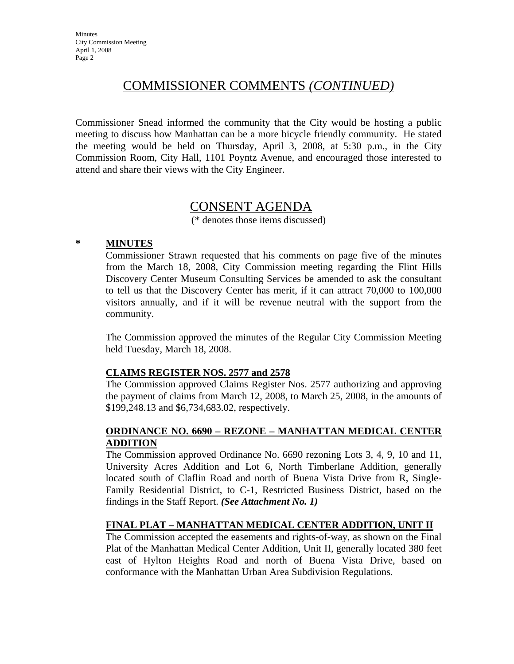# COMMISSIONER COMMENTS *(CONTINUED)*

Commissioner Snead informed the community that the City would be hosting a public meeting to discuss how Manhattan can be a more bicycle friendly community. He stated the meeting would be held on Thursday, April 3, 2008, at 5:30 p.m., in the City Commission Room, City Hall, 1101 Poyntz Avenue, and encouraged those interested to attend and share their views with the City Engineer.

### CONSENT AGENDA

(\* denotes those items discussed)

### **\* MINUTES**

Commissioner Strawn requested that his comments on page five of the minutes from the March 18, 2008, City Commission meeting regarding the Flint Hills Discovery Center Museum Consulting Services be amended to ask the consultant to tell us that the Discovery Center has merit, if it can attract 70,000 to 100,000 visitors annually, and if it will be revenue neutral with the support from the community.

The Commission approved the minutes of the Regular City Commission Meeting held Tuesday, March 18, 2008.

### **CLAIMS REGISTER NOS. 2577 and 2578**

The Commission approved Claims Register Nos. 2577 authorizing and approving the payment of claims from March 12, 2008, to March 25, 2008, in the amounts of \$199,248.13 and \$6,734,683.02, respectively.

### **ORDINANCE NO. 6690 – REZONE – MANHATTAN MEDICAL CENTER ADDITION**

The Commission approved Ordinance No. 6690 rezoning Lots 3, 4, 9, 10 and 11, University Acres Addition and Lot 6, North Timberlane Addition, generally located south of Claflin Road and north of Buena Vista Drive from R, Single-Family Residential District, to C-1, Restricted Business District, based on the findings in the Staff Report. *(See Attachment No. 1)*

### **FINAL PLAT – MANHATTAN MEDICAL CENTER ADDITION, UNIT II**

The Commission accepted the easements and rights-of-way, as shown on the Final Plat of the Manhattan Medical Center Addition, Unit II, generally located 380 feet east of Hylton Heights Road and north of Buena Vista Drive, based on conformance with the Manhattan Urban Area Subdivision Regulations.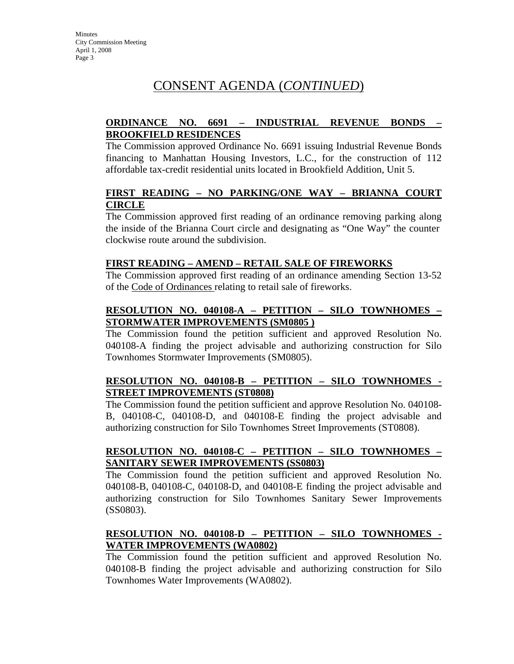# CONSENT AGENDA (*CONTINUED*)

### **ORDINANCE NO. 6691 – INDUSTRIAL REVENUE BONDS – BROOKFIELD RESIDENCES**

The Commission approved Ordinance No. 6691 issuing Industrial Revenue Bonds financing to Manhattan Housing Investors, L.C., for the construction of 112 affordable tax-credit residential units located in Brookfield Addition, Unit 5.

### **FIRST READING – NO PARKING/ONE WAY – BRIANNA COURT CIRCLE**

The Commission approved first reading of an ordinance removing parking along the inside of the Brianna Court circle and designating as "One Way" the counter clockwise route around the subdivision.

### **FIRST READING – AMEND – RETAIL SALE OF FIREWORKS**

The Commission approved first reading of an ordinance amending Section 13-52 of the Code of Ordinances relating to retail sale of fireworks.

### **RESOLUTION NO. 040108-A – PETITION – SILO TOWNHOMES – STORMWATER IMPROVEMENTS (SM0805 )**

The Commission found the petition sufficient and approved Resolution No. 040108-A finding the project advisable and authorizing construction for Silo Townhomes Stormwater Improvements (SM0805).

### **RESOLUTION NO. 040108-B – PETITION – SILO TOWNHOMES - STREET IMPROVEMENTS (ST0808)**

The Commission found the petition sufficient and approve Resolution No. 040108- B, 040108-C, 040108-D, and 040108-E finding the project advisable and authorizing construction for Silo Townhomes Street Improvements (ST0808).

### **RESOLUTION NO. 040108-C – PETITION – SILO TOWNHOMES – SANITARY SEWER IMPROVEMENTS (SS0803)**

The Commission found the petition sufficient and approved Resolution No. 040108-B, 040108-C, 040108-D, and 040108-E finding the project advisable and authorizing construction for Silo Townhomes Sanitary Sewer Improvements (SS0803).

### **RESOLUTION NO. 040108-D – PETITION – SILO TOWNHOMES - WATER IMPROVEMENTS (WA0802)**

The Commission found the petition sufficient and approved Resolution No. 040108-B finding the project advisable and authorizing construction for Silo Townhomes Water Improvements (WA0802).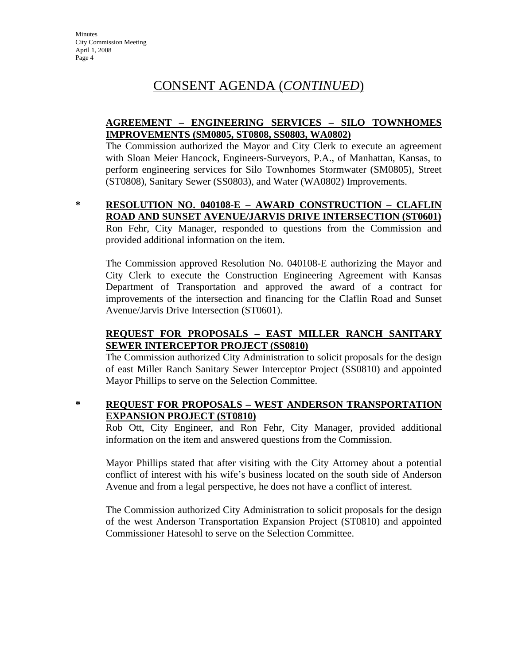# CONSENT AGENDA (*CONTINUED*)

### **AGREEMENT – ENGINEERING SERVICES – SILO TOWNHOMES IMPROVEMENTS (SM0805, ST0808, SS0803, WA0802)**

The Commission authorized the Mayor and City Clerk to execute an agreement with Sloan Meier Hancock, Engineers-Surveyors, P.A., of Manhattan, Kansas, to perform engineering services for Silo Townhomes Stormwater (SM0805), Street (ST0808), Sanitary Sewer (SS0803), and Water (WA0802) Improvements.

### **\* RESOLUTION NO. 040108-E – AWARD CONSTRUCTION – CLAFLIN ROAD AND SUNSET AVENUE/JARVIS DRIVE INTERSECTION (ST0601)**

Ron Fehr, City Manager, responded to questions from the Commission and provided additional information on the item.

The Commission approved Resolution No. 040108-E authorizing the Mayor and City Clerk to execute the Construction Engineering Agreement with Kansas Department of Transportation and approved the award of a contract for improvements of the intersection and financing for the Claflin Road and Sunset Avenue/Jarvis Drive Intersection (ST0601).

### **REQUEST FOR PROPOSALS – EAST MILLER RANCH SANITARY SEWER INTERCEPTOR PROJECT (SS0810)**

The Commission authorized City Administration to solicit proposals for the design of east Miller Ranch Sanitary Sewer Interceptor Project (SS0810) and appointed Mayor Phillips to serve on the Selection Committee.

### **\* REQUEST FOR PROPOSALS – WEST ANDERSON TRANSPORTATION EXPANSION PROJECT (ST0810)**

Rob Ott, City Engineer, and Ron Fehr, City Manager, provided additional information on the item and answered questions from the Commission.

Mayor Phillips stated that after visiting with the City Attorney about a potential conflict of interest with his wife's business located on the south side of Anderson Avenue and from a legal perspective, he does not have a conflict of interest.

The Commission authorized City Administration to solicit proposals for the design of the west Anderson Transportation Expansion Project (ST0810) and appointed Commissioner Hatesohl to serve on the Selection Committee.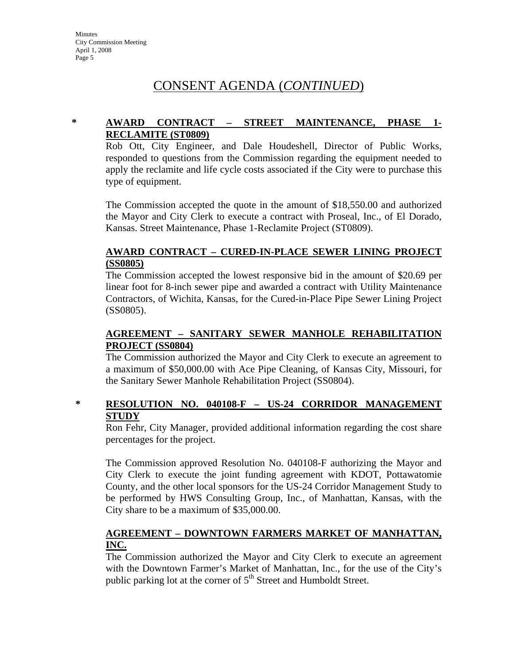# CONSENT AGENDA (*CONTINUED*)

### **\* AWARD CONTRACT – STREET MAINTENANCE, PHASE 1- RECLAMITE (ST0809)**

Rob Ott, City Engineer, and Dale Houdeshell, Director of Public Works, responded to questions from the Commission regarding the equipment needed to apply the reclamite and life cycle costs associated if the City were to purchase this type of equipment.

The Commission accepted the quote in the amount of \$18,550.00 and authorized the Mayor and City Clerk to execute a contract with Proseal, Inc., of El Dorado, Kansas. Street Maintenance, Phase 1-Reclamite Project (ST0809).

### **AWARD CONTRACT – CURED-IN-PLACE SEWER LINING PROJECT (SS0805)**

The Commission accepted the lowest responsive bid in the amount of \$20.69 per linear foot for 8-inch sewer pipe and awarded a contract with Utility Maintenance Contractors, of Wichita, Kansas, for the Cured-in-Place Pipe Sewer Lining Project (SS0805).

### **AGREEMENT – SANITARY SEWER MANHOLE REHABILITATION PROJECT (SS0804)**

The Commission authorized the Mayor and City Clerk to execute an agreement to a maximum of \$50,000.00 with Ace Pipe Cleaning, of Kansas City, Missouri, for the Sanitary Sewer Manhole Rehabilitation Project (SS0804).

### **\* RESOLUTION NO. 040108-F – US-24 CORRIDOR MANAGEMENT STUDY**

Ron Fehr, City Manager, provided additional information regarding the cost share percentages for the project.

The Commission approved Resolution No. 040108-F authorizing the Mayor and City Clerk to execute the joint funding agreement with KDOT, Pottawatomie County, and the other local sponsors for the US-24 Corridor Management Study to be performed by HWS Consulting Group, Inc., of Manhattan, Kansas, with the City share to be a maximum of \$35,000.00.

### **AGREEMENT – DOWNTOWN FARMERS MARKET OF MANHATTAN, INC.**

The Commission authorized the Mayor and City Clerk to execute an agreement with the Downtown Farmer's Market of Manhattan, Inc., for the use of the City's public parking lot at the corner of  $5<sup>th</sup>$  Street and Humboldt Street.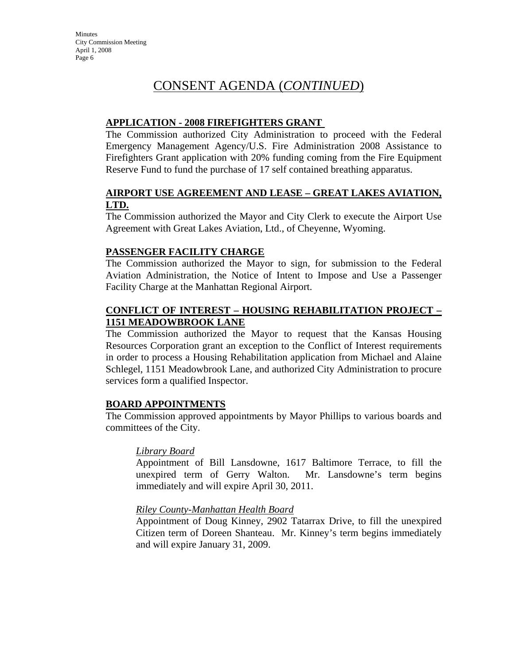# CONSENT AGENDA (*CONTINUED*)

### **APPLICATION - 2008 FIREFIGHTERS GRANT**

The Commission authorized City Administration to proceed with the Federal Emergency Management Agency/U.S. Fire Administration 2008 Assistance to Firefighters Grant application with 20% funding coming from the Fire Equipment Reserve Fund to fund the purchase of 17 self contained breathing apparatus.

### **AIRPORT USE AGREEMENT AND LEASE – GREAT LAKES AVIATION, LTD.**

The Commission authorized the Mayor and City Clerk to execute the Airport Use Agreement with Great Lakes Aviation, Ltd., of Cheyenne, Wyoming.

### **PASSENGER FACILITY CHARGE**

The Commission authorized the Mayor to sign, for submission to the Federal Aviation Administration, the Notice of Intent to Impose and Use a Passenger Facility Charge at the Manhattan Regional Airport.

### **CONFLICT OF INTEREST – HOUSING REHABILITATION PROJECT – 1151 MEADOWBROOK LANE**

The Commission authorized the Mayor to request that the Kansas Housing Resources Corporation grant an exception to the Conflict of Interest requirements in order to process a Housing Rehabilitation application from Michael and Alaine Schlegel, 1151 Meadowbrook Lane, and authorized City Administration to procure services form a qualified Inspector.

### **BOARD APPOINTMENTS**

The Commission approved appointments by Mayor Phillips to various boards and committees of the City.

### *Library Board*

Appointment of Bill Lansdowne, 1617 Baltimore Terrace, to fill the unexpired term of Gerry Walton. Mr. Lansdowne's term begins immediately and will expire April 30, 2011.

### *Riley County-Manhattan Health Board*

Appointment of Doug Kinney, 2902 Tatarrax Drive, to fill the unexpired Citizen term of Doreen Shanteau. Mr. Kinney's term begins immediately and will expire January 31, 2009.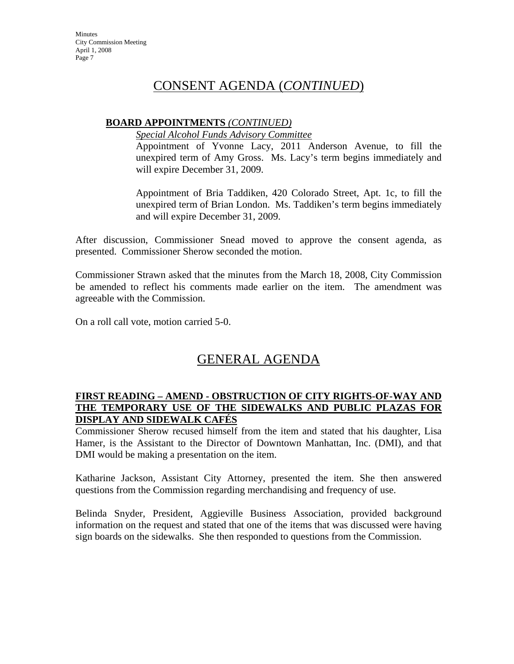## CONSENT AGENDA (*CONTINUED*)

### **BOARD APPOINTMENTS** *(CONTINUED)*

*Special Alcohol Funds Advisory Committee*

Appointment of Yvonne Lacy, 2011 Anderson Avenue, to fill the unexpired term of Amy Gross. Ms. Lacy's term begins immediately and will expire December 31, 2009.

Appointment of Bria Taddiken, 420 Colorado Street, Apt. 1c, to fill the unexpired term of Brian London. Ms. Taddiken's term begins immediately and will expire December 31, 2009.

After discussion, Commissioner Snead moved to approve the consent agenda, as presented. Commissioner Sherow seconded the motion.

Commissioner Strawn asked that the minutes from the March 18, 2008, City Commission be amended to reflect his comments made earlier on the item. The amendment was agreeable with the Commission.

On a roll call vote, motion carried 5-0.

# GENERAL AGENDA

### **FIRST READING – AMEND - OBSTRUCTION OF CITY RIGHTS-OF-WAY AND THE TEMPORARY USE OF THE SIDEWALKS AND PUBLIC PLAZAS FOR DISPLAY AND SIDEWALK CAFÉS**

Commissioner Sherow recused himself from the item and stated that his daughter, Lisa Hamer, is the Assistant to the Director of Downtown Manhattan, Inc. (DMI), and that DMI would be making a presentation on the item.

Katharine Jackson, Assistant City Attorney, presented the item. She then answered questions from the Commission regarding merchandising and frequency of use.

Belinda Snyder, President, Aggieville Business Association, provided background information on the request and stated that one of the items that was discussed were having sign boards on the sidewalks. She then responded to questions from the Commission.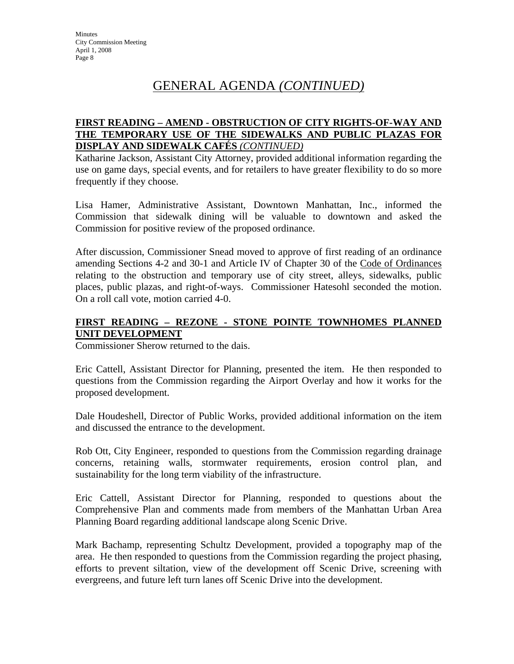# GENERAL AGENDA *(CONTINUED)*

### **FIRST READING – AMEND - OBSTRUCTION OF CITY RIGHTS-OF-WAY AND THE TEMPORARY USE OF THE SIDEWALKS AND PUBLIC PLAZAS FOR DISPLAY AND SIDEWALK CAFÉS** *(CONTINUED)*

Katharine Jackson, Assistant City Attorney, provided additional information regarding the use on game days, special events, and for retailers to have greater flexibility to do so more frequently if they choose.

Lisa Hamer, Administrative Assistant, Downtown Manhattan, Inc., informed the Commission that sidewalk dining will be valuable to downtown and asked the Commission for positive review of the proposed ordinance.

After discussion, Commissioner Snead moved to approve of first reading of an ordinance amending Sections 4-2 and 30-1 and Article IV of Chapter 30 of the Code of Ordinances relating to the obstruction and temporary use of city street, alleys, sidewalks, public places, public plazas, and right-of-ways. Commissioner Hatesohl seconded the motion. On a roll call vote, motion carried 4-0.

### **FIRST READING – REZONE - STONE POINTE TOWNHOMES PLANNED UNIT DEVELOPMENT**

Commissioner Sherow returned to the dais.

Eric Cattell, Assistant Director for Planning, presented the item. He then responded to questions from the Commission regarding the Airport Overlay and how it works for the proposed development.

Dale Houdeshell, Director of Public Works, provided additional information on the item and discussed the entrance to the development.

Rob Ott, City Engineer, responded to questions from the Commission regarding drainage concerns, retaining walls, stormwater requirements, erosion control plan, and sustainability for the long term viability of the infrastructure.

Eric Cattell, Assistant Director for Planning, responded to questions about the Comprehensive Plan and comments made from members of the Manhattan Urban Area Planning Board regarding additional landscape along Scenic Drive.

Mark Bachamp, representing Schultz Development, provided a topography map of the area. He then responded to questions from the Commission regarding the project phasing, efforts to prevent siltation, view of the development off Scenic Drive, screening with evergreens, and future left turn lanes off Scenic Drive into the development.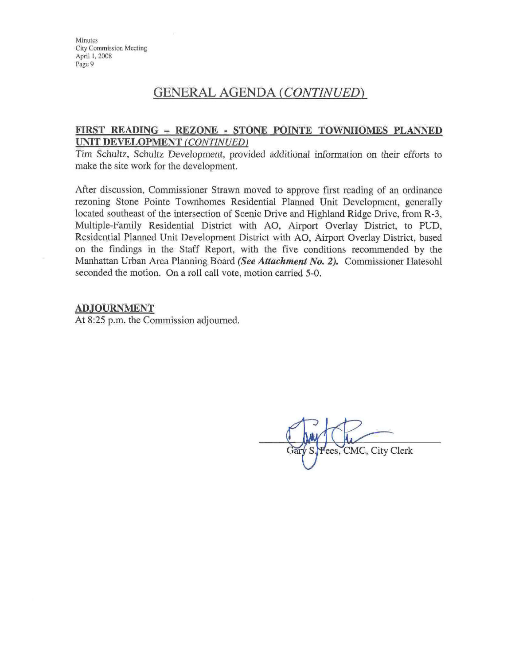### **GENERAL AGENDA (CONTINUED)**

### FIRST READING - REZONE - STONE POINTE TOWNHOMES PLANNED UNIT DEVELOPMENT (CONTINUED)

Tim Schultz, Schultz Development, provided additional information on their efforts to make the site work for the development.

After discussion, Commissioner Strawn moved to approve first reading of an ordinance rezoning Stone Pointe Townhomes Residential Planned Unit Development, generally located southeast of the intersection of Scenic Drive and Highland Ridge Drive, from R-3, Multiple-Family Residential District with AO, Airport Overlay District, to PUD, Residential Planned Unit Development District with AO, Airport Overlay District, based on the findings in the Staff Report, with the five conditions recommended by the Manhattan Urban Area Planning Board (See Attachment No. 2). Commissioner Hatesohl seconded the motion. On a roll call vote, motion carried 5-0.

#### **ADJOURNMENT**

At 8:25 p.m. the Commission adjourned.

ees, CMC, City Clerk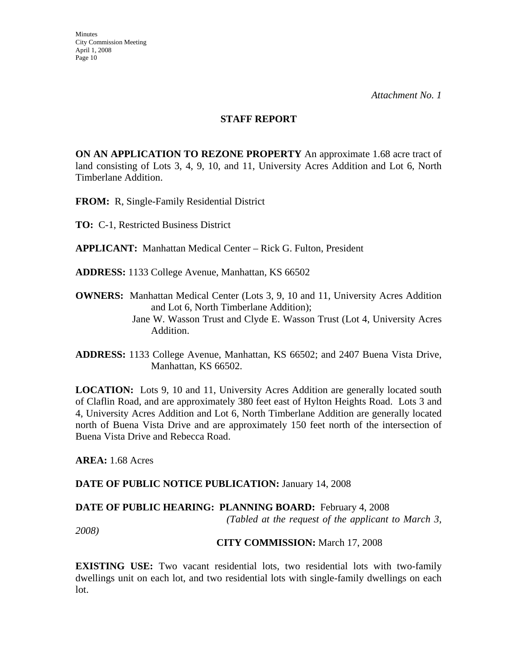#### **STAFF REPORT**

**ON AN APPLICATION TO REZONE PROPERTY** An approximate 1.68 acre tract of land consisting of Lots 3, 4, 9, 10, and 11, University Acres Addition and Lot 6, North Timberlane Addition.

**FROM:** R, Single-Family Residential District

**TO:** C-1, Restricted Business District

**APPLICANT:** Manhattan Medical Center – Rick G. Fulton, President

**ADDRESS:** 1133 College Avenue, Manhattan, KS 66502

**OWNERS:** Manhattan Medical Center (Lots 3, 9, 10 and 11, University Acres Addition and Lot 6, North Timberlane Addition);

> Jane W. Wasson Trust and Clyde E. Wasson Trust (Lot 4, University Acres Addition.

**LOCATION:** Lots 9, 10 and 11, University Acres Addition are generally located south of Claflin Road, and are approximately 380 feet east of Hylton Heights Road. Lots 3 and 4, University Acres Addition and Lot 6, North Timberlane Addition are generally located north of Buena Vista Drive and are approximately 150 feet north of the intersection of Buena Vista Drive and Rebecca Road.

**AREA:** 1.68 Acres

### DATE OF PUBLIC NOTICE PUBLICATION: January 14, 2008

### **DATE OF PUBLIC HEARING: PLANNING BOARD:** February 4, 2008

 *(Tabled at the request of the applicant to March 3,* 

*2008)* 

### **CITY COMMISSION:** March 17, 2008

**EXISTING USE:** Two vacant residential lots, two residential lots with two-family dwellings unit on each lot, and two residential lots with single-family dwellings on each lot.

**ADDRESS:** 1133 College Avenue, Manhattan, KS 66502; and 2407 Buena Vista Drive, Manhattan, KS 66502.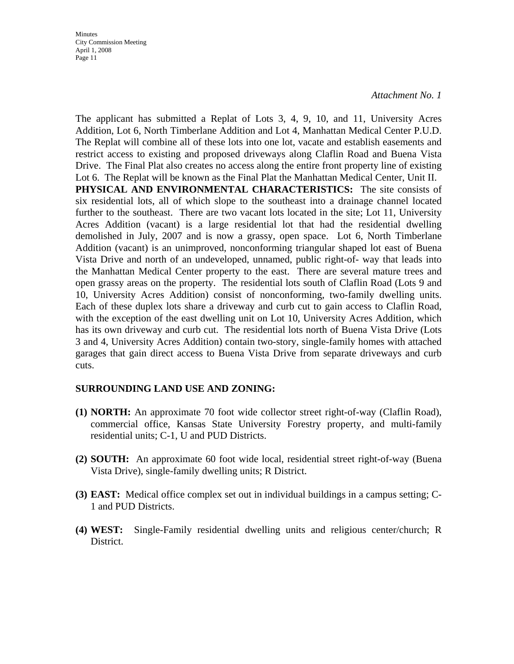*Attachment No. 1* 

The applicant has submitted a Replat of Lots 3, 4, 9, 10, and 11, University Acres Addition, Lot 6, North Timberlane Addition and Lot 4, Manhattan Medical Center P.U.D. The Replat will combine all of these lots into one lot, vacate and establish easements and restrict access to existing and proposed driveways along Claflin Road and Buena Vista Drive. The Final Plat also creates no access along the entire front property line of existing Lot 6. The Replat will be known as the Final Plat the Manhattan Medical Center, Unit II. **PHYSICAL AND ENVIRONMENTAL CHARACTERISTICS:** The site consists of six residential lots, all of which slope to the southeast into a drainage channel located further to the southeast. There are two vacant lots located in the site; Lot 11, University Acres Addition (vacant) is a large residential lot that had the residential dwelling demolished in July, 2007 and is now a grassy, open space. Lot 6, North Timberlane Addition (vacant) is an unimproved, nonconforming triangular shaped lot east of Buena Vista Drive and north of an undeveloped, unnamed, public right-of- way that leads into the Manhattan Medical Center property to the east. There are several mature trees and open grassy areas on the property. The residential lots south of Claflin Road (Lots 9 and 10, University Acres Addition) consist of nonconforming, two-family dwelling units. Each of these duplex lots share a driveway and curb cut to gain access to Claflin Road, with the exception of the east dwelling unit on Lot 10, University Acres Addition, which has its own driveway and curb cut. The residential lots north of Buena Vista Drive (Lots 3 and 4, University Acres Addition) contain two-story, single-family homes with attached garages that gain direct access to Buena Vista Drive from separate driveways and curb cuts.

### **SURROUNDING LAND USE AND ZONING:**

- **(1) NORTH:** An approximate 70 foot wide collector street right-of-way (Claflin Road), commercial office, Kansas State University Forestry property, and multi-family residential units; C-1, U and PUD Districts.
- **(2) SOUTH:** An approximate 60 foot wide local, residential street right-of-way (Buena Vista Drive), single-family dwelling units; R District.
- **(3) EAST:** Medical office complex set out in individual buildings in a campus setting; C-1 and PUD Districts.
- **(4) WEST:** Single-Family residential dwelling units and religious center/church; R District.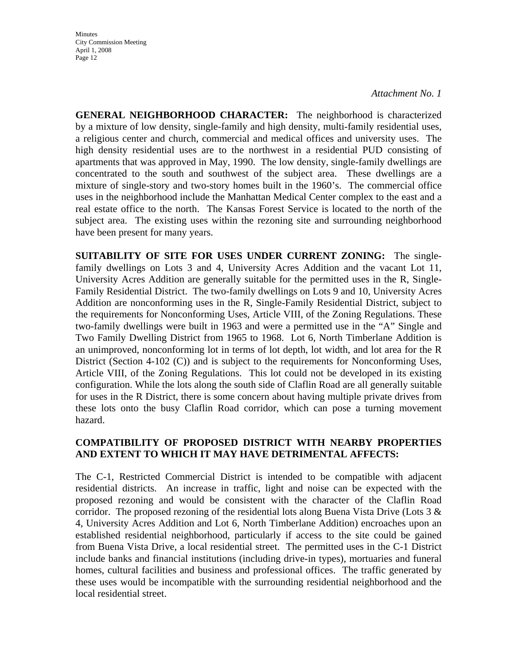*Attachment No. 1* 

**GENERAL NEIGHBORHOOD CHARACTER:** The neighborhood is characterized by a mixture of low density, single-family and high density, multi-family residential uses, a religious center and church, commercial and medical offices and university uses. The high density residential uses are to the northwest in a residential PUD consisting of apartments that was approved in May, 1990. The low density, single-family dwellings are concentrated to the south and southwest of the subject area. These dwellings are a mixture of single-story and two-story homes built in the 1960's. The commercial office uses in the neighborhood include the Manhattan Medical Center complex to the east and a real estate office to the north. The Kansas Forest Service is located to the north of the subject area. The existing uses within the rezoning site and surrounding neighborhood have been present for many years.

**SUITABILITY OF SITE FOR USES UNDER CURRENT ZONING:** The singlefamily dwellings on Lots 3 and 4, University Acres Addition and the vacant Lot 11, University Acres Addition are generally suitable for the permitted uses in the R, Single-Family Residential District. The two-family dwellings on Lots 9 and 10, University Acres Addition are nonconforming uses in the R, Single-Family Residential District, subject to the requirements for Nonconforming Uses, Article VIII, of the Zoning Regulations. These two-family dwellings were built in 1963 and were a permitted use in the "A" Single and Two Family Dwelling District from 1965 to 1968. Lot 6, North Timberlane Addition is an unimproved, nonconforming lot in terms of lot depth, lot width, and lot area for the R District (Section 4-102 (C)) and is subject to the requirements for Nonconforming Uses, Article VIII, of the Zoning Regulations. This lot could not be developed in its existing configuration. While the lots along the south side of Claflin Road are all generally suitable for uses in the R District, there is some concern about having multiple private drives from these lots onto the busy Claflin Road corridor, which can pose a turning movement hazard.

### **COMPATIBILITY OF PROPOSED DISTRICT WITH NEARBY PROPERTIES AND EXTENT TO WHICH IT MAY HAVE DETRIMENTAL AFFECTS:**

The C-1, Restricted Commercial District is intended to be compatible with adjacent residential districts. An increase in traffic, light and noise can be expected with the proposed rezoning and would be consistent with the character of the Claflin Road corridor. The proposed rezoning of the residential lots along Buena Vista Drive (Lots  $3 < x$ 4, University Acres Addition and Lot 6, North Timberlane Addition) encroaches upon an established residential neighborhood, particularly if access to the site could be gained from Buena Vista Drive, a local residential street. The permitted uses in the C-1 District include banks and financial institutions (including drive-in types), mortuaries and funeral homes, cultural facilities and business and professional offices. The traffic generated by these uses would be incompatible with the surrounding residential neighborhood and the local residential street.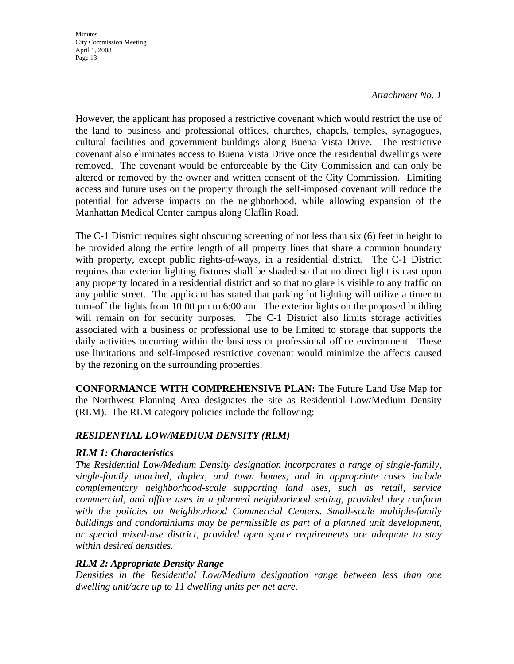### *Attachment No. 1*

However, the applicant has proposed a restrictive covenant which would restrict the use of the land to business and professional offices, churches, chapels, temples, synagogues, cultural facilities and government buildings along Buena Vista Drive. The restrictive covenant also eliminates access to Buena Vista Drive once the residential dwellings were removed. The covenant would be enforceable by the City Commission and can only be altered or removed by the owner and written consent of the City Commission. Limiting access and future uses on the property through the self-imposed covenant will reduce the potential for adverse impacts on the neighborhood, while allowing expansion of the Manhattan Medical Center campus along Claflin Road.

The C-1 District requires sight obscuring screening of not less than six (6) feet in height to be provided along the entire length of all property lines that share a common boundary with property, except public rights-of-ways, in a residential district. The C-1 District requires that exterior lighting fixtures shall be shaded so that no direct light is cast upon any property located in a residential district and so that no glare is visible to any traffic on any public street. The applicant has stated that parking lot lighting will utilize a timer to turn-off the lights from 10:00 pm to 6:00 am. The exterior lights on the proposed building will remain on for security purposes. The C-1 District also limits storage activities associated with a business or professional use to be limited to storage that supports the daily activities occurring within the business or professional office environment. These use limitations and self-imposed restrictive covenant would minimize the affects caused by the rezoning on the surrounding properties.

**CONFORMANCE WITH COMPREHENSIVE PLAN:** The Future Land Use Map for the Northwest Planning Area designates the site as Residential Low/Medium Density (RLM). The RLM category policies include the following:

### *RESIDENTIAL LOW/MEDIUM DENSITY (RLM)*

### *RLM 1: Characteristics*

*The Residential Low/Medium Density designation incorporates a range of single-family, single-family attached, duplex, and town homes, and in appropriate cases include complementary neighborhood-scale supporting land uses, such as retail, service commercial, and office uses in a planned neighborhood setting, provided they conform*  with the policies on Neighborhood Commercial Centers. Small-scale multiple-family *buildings and condominiums may be permissible as part of a planned unit development, or special mixed-use district, provided open space requirements are adequate to stay within desired densities.* 

### *RLM 2: Appropriate Density Range*

*Densities in the Residential Low/Medium designation range between less than one dwelling unit/acre up to 11 dwelling units per net acre.*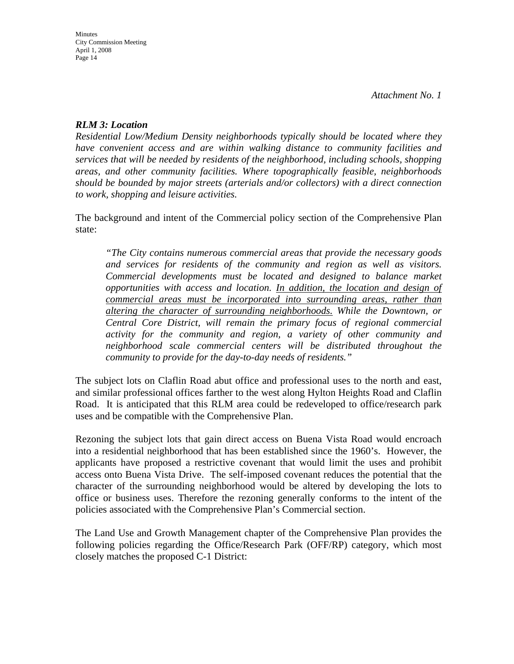### *RLM 3: Location*

*Residential Low/Medium Density neighborhoods typically should be located where they have convenient access and are within walking distance to community facilities and services that will be needed by residents of the neighborhood, including schools, shopping areas, and other community facilities. Where topographically feasible, neighborhoods should be bounded by major streets (arterials and/or collectors) with a direct connection to work, shopping and leisure activities.* 

The background and intent of the Commercial policy section of the Comprehensive Plan state:

*"The City contains numerous commercial areas that provide the necessary goods and services for residents of the community and region as well as visitors. Commercial developments must be located and designed to balance market opportunities with access and location. In addition, the location and design of commercial areas must be incorporated into surrounding areas, rather than altering the character of surrounding neighborhoods. While the Downtown, or Central Core District, will remain the primary focus of regional commercial activity for the community and region, a variety of other community and neighborhood scale commercial centers will be distributed throughout the community to provide for the day-to-day needs of residents."*

The subject lots on Claflin Road abut office and professional uses to the north and east, and similar professional offices farther to the west along Hylton Heights Road and Claflin Road. It is anticipated that this RLM area could be redeveloped to office/research park uses and be compatible with the Comprehensive Plan.

Rezoning the subject lots that gain direct access on Buena Vista Road would encroach into a residential neighborhood that has been established since the 1960's. However, the applicants have proposed a restrictive covenant that would limit the uses and prohibit access onto Buena Vista Drive. The self-imposed covenant reduces the potential that the character of the surrounding neighborhood would be altered by developing the lots to office or business uses. Therefore the rezoning generally conforms to the intent of the policies associated with the Comprehensive Plan's Commercial section.

The Land Use and Growth Management chapter of the Comprehensive Plan provides the following policies regarding the Office/Research Park (OFF/RP) category, which most closely matches the proposed C-1 District: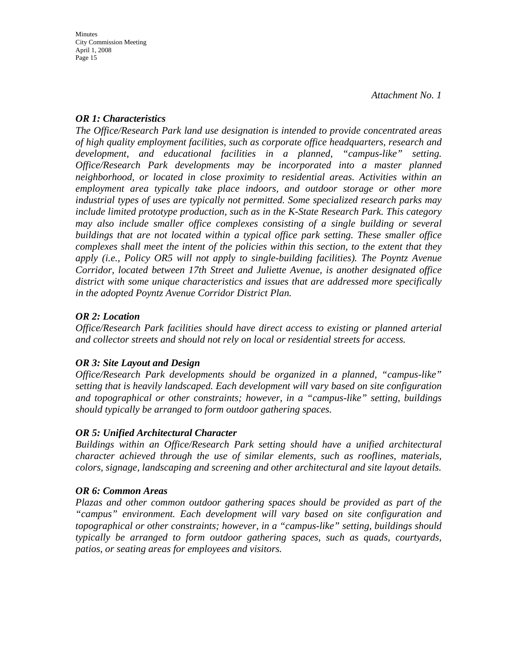*Attachment No. 1* 

### *OR 1: Characteristics*

*The Office/Research Park land use designation is intended to provide concentrated areas of high quality employment facilities, such as corporate office headquarters, research and development, and educational facilities in a planned, "campus-like" setting. Office/Research Park developments may be incorporated into a master planned neighborhood, or located in close proximity to residential areas. Activities within an employment area typically take place indoors, and outdoor storage or other more industrial types of uses are typically not permitted. Some specialized research parks may include limited prototype production, such as in the K-State Research Park. This category may also include smaller office complexes consisting of a single building or several buildings that are not located within a typical office park setting. These smaller office complexes shall meet the intent of the policies within this section, to the extent that they apply (i.e., Policy OR5 will not apply to single-building facilities). The Poyntz Avenue Corridor, located between 17th Street and Juliette Avenue, is another designated office district with some unique characteristics and issues that are addressed more specifically in the adopted Poyntz Avenue Corridor District Plan.* 

### *OR 2: Location*

*Office/Research Park facilities should have direct access to existing or planned arterial and collector streets and should not rely on local or residential streets for access.* 

### *OR 3: Site Layout and Design*

*Office/Research Park developments should be organized in a planned, "campus-like" setting that is heavily landscaped. Each development will vary based on site configuration and topographical or other constraints; however, in a "campus-like" setting, buildings should typically be arranged to form outdoor gathering spaces.* 

### *OR 5: Unified Architectural Character*

*Buildings within an Office/Research Park setting should have a unified architectural character achieved through the use of similar elements, such as rooflines, materials, colors, signage, landscaping and screening and other architectural and site layout details.* 

### *OR 6: Common Areas*

*Plazas and other common outdoor gathering spaces should be provided as part of the "campus" environment. Each development will vary based on site configuration and topographical or other constraints; however, in a "campus-like" setting, buildings should typically be arranged to form outdoor gathering spaces, such as quads, courtyards, patios, or seating areas for employees and visitors.*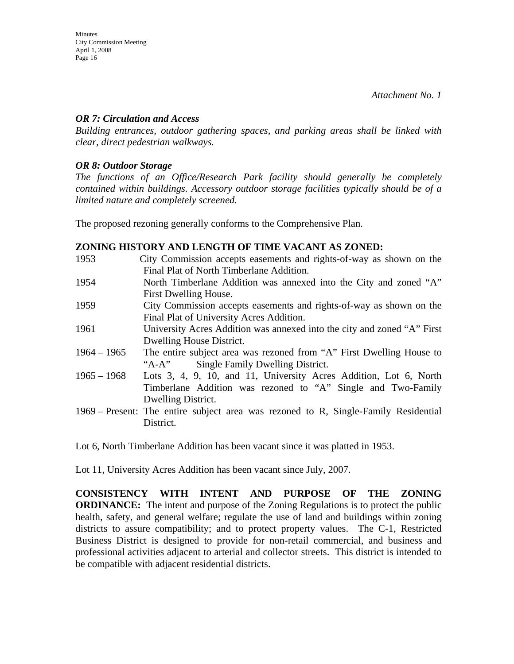### *OR 7: Circulation and Access*

*Building entrances, outdoor gathering spaces, and parking areas shall be linked with clear, direct pedestrian walkways.* 

### *OR 8: Outdoor Storage*

*The functions of an Office/Research Park facility should generally be completely contained within buildings. Accessory outdoor storage facilities typically should be of a limited nature and completely screened.* 

The proposed rezoning generally conforms to the Comprehensive Plan.

### **ZONING HISTORY AND LENGTH OF TIME VACANT AS ZONED:**

| 1953          | City Commission accepts easements and rights-of-way as shown on the<br>Final Plat of North Timberlane Addition. |
|---------------|-----------------------------------------------------------------------------------------------------------------|
| 1954          | North Timberlane Addition was annexed into the City and zoned "A"                                               |
| 1959          | First Dwelling House.<br>City Commission accepts easements and rights-of-way as shown on the                    |
|               | Final Plat of University Acres Addition.                                                                        |
| 1961          | University Acres Addition was annexed into the city and zoned "A" First                                         |
|               | Dwelling House District.                                                                                        |
| $1964 - 1965$ | The entire subject area was rezoned from "A" First Dwelling House to                                            |
|               | "A-A" Single Family Dwelling District.                                                                          |
| $1965 - 1968$ | Lots 3, 4, 9, 10, and 11, University Acres Addition, Lot 6, North                                               |
|               | Timberlane Addition was rezoned to "A" Single and Two-Family                                                    |
|               | Dwelling District.                                                                                              |
|               | 1969 – Present: The entire subject area was rezoned to R, Single-Family Residential                             |
|               | District.                                                                                                       |

Lot 6, North Timberlane Addition has been vacant since it was platted in 1953.

Lot 11, University Acres Addition has been vacant since July, 2007.

**CONSISTENCY WITH INTENT AND PURPOSE OF THE ZONING ORDINANCE:** The intent and purpose of the Zoning Regulations is to protect the public health, safety, and general welfare; regulate the use of land and buildings within zoning districts to assure compatibility; and to protect property values. The C-1, Restricted Business District is designed to provide for non-retail commercial, and business and professional activities adjacent to arterial and collector streets. This district is intended to be compatible with adjacent residential districts.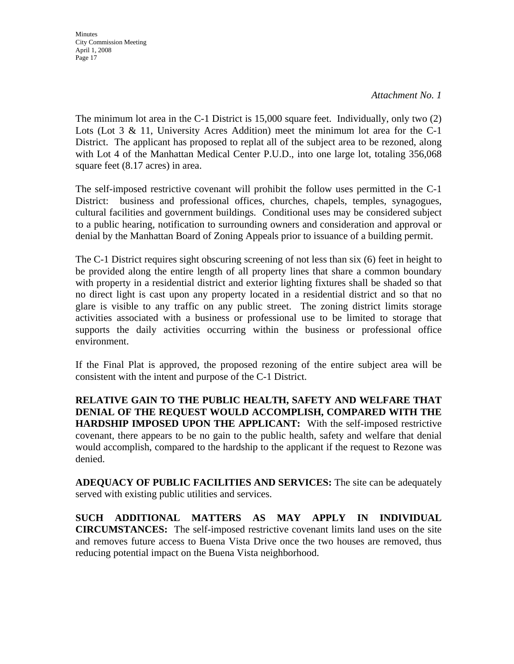*Attachment No. 1* 

The minimum lot area in the C-1 District is 15,000 square feet. Individually, only two (2) Lots (Lot 3 & 11, University Acres Addition) meet the minimum lot area for the C-1 District. The applicant has proposed to replat all of the subject area to be rezoned, along with Lot 4 of the Manhattan Medical Center P.U.D., into one large lot, totaling 356,068 square feet (8.17 acres) in area.

The self-imposed restrictive covenant will prohibit the follow uses permitted in the C-1 District: business and professional offices, churches, chapels, temples, synagogues, cultural facilities and government buildings. Conditional uses may be considered subject to a public hearing, notification to surrounding owners and consideration and approval or denial by the Manhattan Board of Zoning Appeals prior to issuance of a building permit.

The C-1 District requires sight obscuring screening of not less than six (6) feet in height to be provided along the entire length of all property lines that share a common boundary with property in a residential district and exterior lighting fixtures shall be shaded so that no direct light is cast upon any property located in a residential district and so that no glare is visible to any traffic on any public street. The zoning district limits storage activities associated with a business or professional use to be limited to storage that supports the daily activities occurring within the business or professional office environment.

If the Final Plat is approved, the proposed rezoning of the entire subject area will be consistent with the intent and purpose of the C-1 District.

**RELATIVE GAIN TO THE PUBLIC HEALTH, SAFETY AND WELFARE THAT DENIAL OF THE REQUEST WOULD ACCOMPLISH, COMPARED WITH THE HARDSHIP IMPOSED UPON THE APPLICANT:** With the self-imposed restrictive covenant, there appears to be no gain to the public health, safety and welfare that denial would accomplish, compared to the hardship to the applicant if the request to Rezone was denied.

**ADEQUACY OF PUBLIC FACILITIES AND SERVICES:** The site can be adequately served with existing public utilities and services.

**SUCH ADDITIONAL MATTERS AS MAY APPLY IN INDIVIDUAL CIRCUMSTANCES:** The self-imposed restrictive covenant limits land uses on the site and removes future access to Buena Vista Drive once the two houses are removed, thus reducing potential impact on the Buena Vista neighborhood.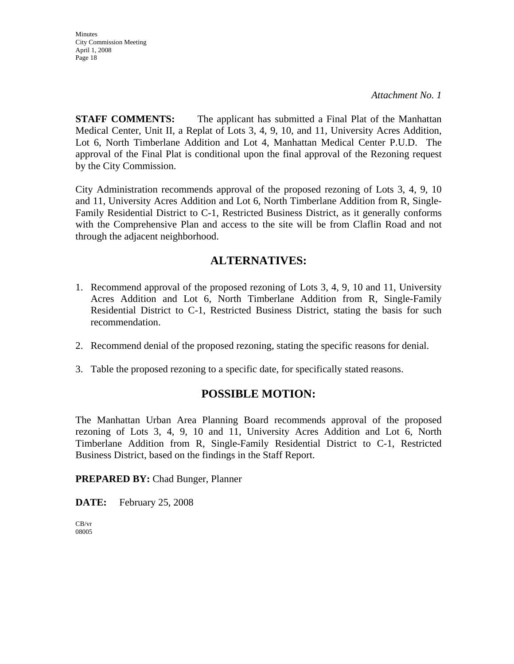*Attachment No. 1* 

**STAFF COMMENTS:** The applicant has submitted a Final Plat of the Manhattan Medical Center, Unit II, a Replat of Lots 3, 4, 9, 10, and 11, University Acres Addition, Lot 6, North Timberlane Addition and Lot 4, Manhattan Medical Center P.U.D. The approval of the Final Plat is conditional upon the final approval of the Rezoning request by the City Commission.

City Administration recommends approval of the proposed rezoning of Lots 3, 4, 9, 10 and 11, University Acres Addition and Lot 6, North Timberlane Addition from R, Single-Family Residential District to C-1, Restricted Business District, as it generally conforms with the Comprehensive Plan and access to the site will be from Claflin Road and not through the adjacent neighborhood.

### **ALTERNATIVES:**

- 1. Recommend approval of the proposed rezoning of Lots 3, 4, 9, 10 and 11, University Acres Addition and Lot 6, North Timberlane Addition from R, Single-Family Residential District to C-1, Restricted Business District, stating the basis for such recommendation.
- 2. Recommend denial of the proposed rezoning, stating the specific reasons for denial.
- 3. Table the proposed rezoning to a specific date, for specifically stated reasons.

### **POSSIBLE MOTION:**

The Manhattan Urban Area Planning Board recommends approval of the proposed rezoning of Lots 3, 4, 9, 10 and 11, University Acres Addition and Lot 6, North Timberlane Addition from R, Single-Family Residential District to C-1, Restricted Business District, based on the findings in the Staff Report.

**PREPARED BY:** Chad Bunger, Planner

**DATE:** February 25, 2008

CB/vr 08005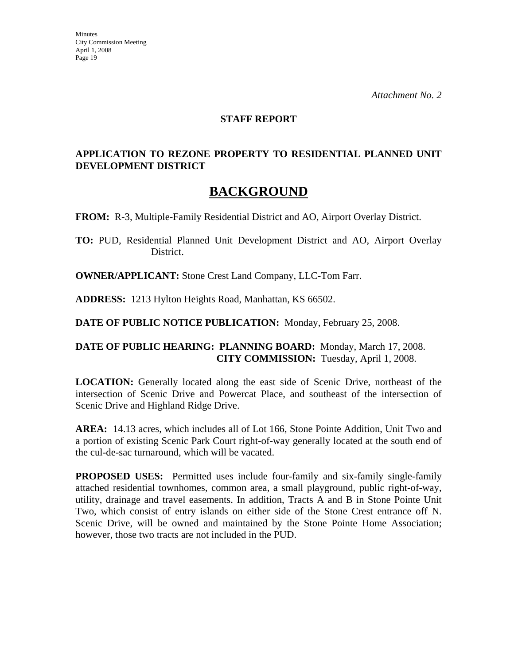#### **STAFF REPORT**

### **APPLICATION TO REZONE PROPERTY TO RESIDENTIAL PLANNED UNIT DEVELOPMENT DISTRICT**

# **BACKGROUND**

**FROM:** R-3, Multiple-Family Residential District and AO, Airport Overlay District.

**TO:** PUD, Residential Planned Unit Development District and AO, Airport Overlay District.

**OWNER/APPLICANT:** Stone Crest Land Company, LLC-Tom Farr.

**ADDRESS:** 1213 Hylton Heights Road, Manhattan, KS 66502.

**DATE OF PUBLIC NOTICE PUBLICATION:** Monday, February 25, 2008.

### **DATE OF PUBLIC HEARING: PLANNING BOARD:** Monday, March 17, 2008. **CITY COMMISSION:** Tuesday, April 1, 2008.

**LOCATION:** Generally located along the east side of Scenic Drive, northeast of the intersection of Scenic Drive and Powercat Place, and southeast of the intersection of Scenic Drive and Highland Ridge Drive.

**AREA:** 14.13 acres, which includes all of Lot 166, Stone Pointe Addition, Unit Two and a portion of existing Scenic Park Court right-of-way generally located at the south end of the cul-de-sac turnaround, which will be vacated.

**PROPOSED USES:** Permitted uses include four-family and six-family single-family attached residential townhomes, common area, a small playground, public right-of-way, utility, drainage and travel easements. In addition, Tracts A and B in Stone Pointe Unit Two, which consist of entry islands on either side of the Stone Crest entrance off N. Scenic Drive, will be owned and maintained by the Stone Pointe Home Association; however, those two tracts are not included in the PUD.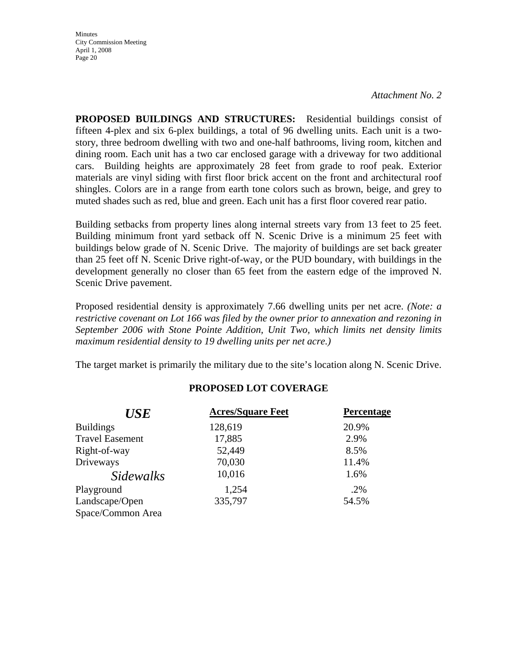*Attachment No. 2*

**PROPOSED BUILDINGS AND STRUCTURES:** Residential buildings consist of fifteen 4-plex and six 6-plex buildings, a total of 96 dwelling units. Each unit is a twostory, three bedroom dwelling with two and one-half bathrooms, living room, kitchen and dining room. Each unit has a two car enclosed garage with a driveway for two additional cars. Building heights are approximately 28 feet from grade to roof peak. Exterior materials are vinyl siding with first floor brick accent on the front and architectural roof shingles. Colors are in a range from earth tone colors such as brown, beige, and grey to muted shades such as red, blue and green. Each unit has a first floor covered rear patio.

Building setbacks from property lines along internal streets vary from 13 feet to 25 feet. Building minimum front yard setback off N. Scenic Drive is a minimum 25 feet with buildings below grade of N. Scenic Drive. The majority of buildings are set back greater than 25 feet off N. Scenic Drive right-of-way, or the PUD boundary, with buildings in the development generally no closer than 65 feet from the eastern edge of the improved N. Scenic Drive pavement.

Proposed residential density is approximately 7.66 dwelling units per net acre. *(Note: a restrictive covenant on Lot 166 was filed by the owner prior to annexation and rezoning in September 2006 with Stone Pointe Addition, Unit Two, which limits net density limits maximum residential density to 19 dwelling units per net acre.)*

The target market is primarily the military due to the site's location along N. Scenic Drive.

| <b>USE</b>             | <b>Acres/Square Feet</b> | Percentage |
|------------------------|--------------------------|------------|
| <b>Buildings</b>       | 128,619                  | 20.9%      |
| <b>Travel Easement</b> | 17,885                   | 2.9%       |
| Right-of-way           | 52,449                   | 8.5%       |
| Driveways              | 70,030                   | 11.4%      |
| <i>Sidewalks</i>       | 10,016                   | 1.6%       |
| Playground             | 1,254                    | .2%        |
| Landscape/Open         | 335,797                  | 54.5%      |
| Space/Common Area      |                          |            |

### **PROPOSED LOT COVERAGE**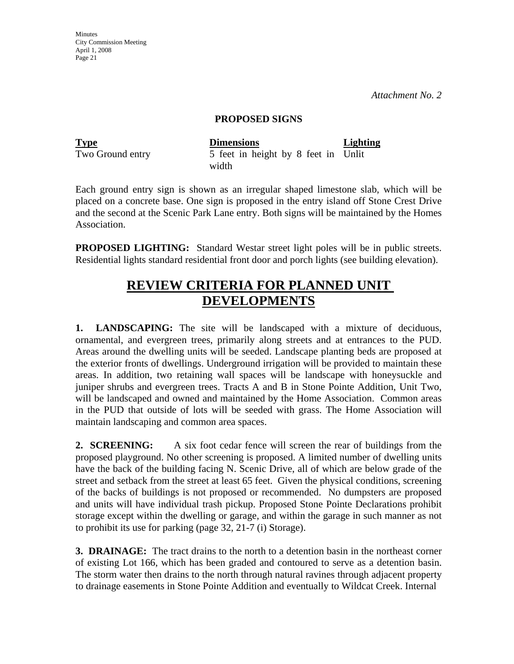*Attachment No. 2*

#### **PROPOSED SIGNS**

| <b>Type</b>      | <b>Dimensions</b>                   | <b>Lighting</b> |
|------------------|-------------------------------------|-----------------|
| Two Ground entry | 5 feet in height by 8 feet in Unlit |                 |
|                  | width                               |                 |

Each ground entry sign is shown as an irregular shaped limestone slab, which will be placed on a concrete base. One sign is proposed in the entry island off Stone Crest Drive and the second at the Scenic Park Lane entry. Both signs will be maintained by the Homes Association.

**PROPOSED LIGHTING:** Standard Westar street light poles will be in public streets. Residential lights standard residential front door and porch lights (see building elevation).

# **REVIEW CRITERIA FOR PLANNED UNIT DEVELOPMENTS**

**1. LANDSCAPING:** The site will be landscaped with a mixture of deciduous, ornamental, and evergreen trees, primarily along streets and at entrances to the PUD. Areas around the dwelling units will be seeded. Landscape planting beds are proposed at the exterior fronts of dwellings. Underground irrigation will be provided to maintain these areas. In addition, two retaining wall spaces will be landscape with honeysuckle and juniper shrubs and evergreen trees. Tracts A and B in Stone Pointe Addition, Unit Two, will be landscaped and owned and maintained by the Home Association. Common areas in the PUD that outside of lots will be seeded with grass. The Home Association will maintain landscaping and common area spaces.

**2. SCREENING:** A six foot cedar fence will screen the rear of buildings from the proposed playground. No other screening is proposed. A limited number of dwelling units have the back of the building facing N. Scenic Drive, all of which are below grade of the street and setback from the street at least 65 feet. Given the physical conditions, screening of the backs of buildings is not proposed or recommended. No dumpsters are proposed and units will have individual trash pickup. Proposed Stone Pointe Declarations prohibit storage except within the dwelling or garage, and within the garage in such manner as not to prohibit its use for parking (page 32, 21-7 (i) Storage).

**3. DRAINAGE:** The tract drains to the north to a detention basin in the northeast corner of existing Lot 166, which has been graded and contoured to serve as a detention basin. The storm water then drains to the north through natural ravines through adjacent property to drainage easements in Stone Pointe Addition and eventually to Wildcat Creek. Internal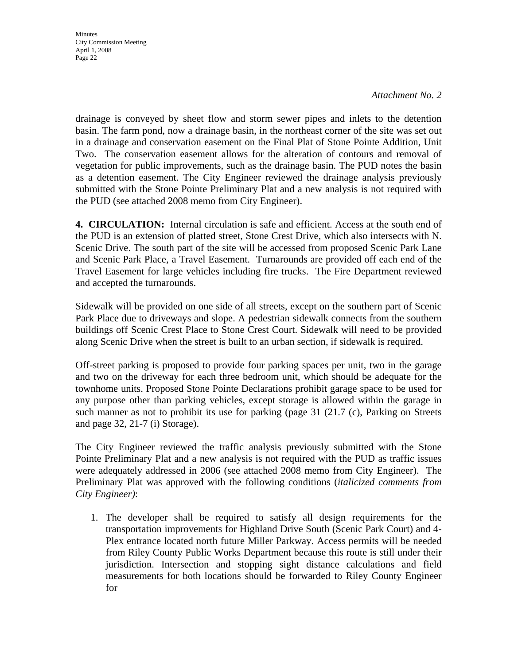*Attachment No. 2*

drainage is conveyed by sheet flow and storm sewer pipes and inlets to the detention basin. The farm pond, now a drainage basin, in the northeast corner of the site was set out in a drainage and conservation easement on the Final Plat of Stone Pointe Addition, Unit Two. The conservation easement allows for the alteration of contours and removal of vegetation for public improvements, such as the drainage basin. The PUD notes the basin as a detention easement. The City Engineer reviewed the drainage analysis previously submitted with the Stone Pointe Preliminary Plat and a new analysis is not required with the PUD (see attached 2008 memo from City Engineer).

**4. CIRCULATION:** Internal circulation is safe and efficient. Access at the south end of the PUD is an extension of platted street, Stone Crest Drive, which also intersects with N. Scenic Drive. The south part of the site will be accessed from proposed Scenic Park Lane and Scenic Park Place, a Travel Easement. Turnarounds are provided off each end of the Travel Easement for large vehicles including fire trucks. The Fire Department reviewed and accepted the turnarounds.

Sidewalk will be provided on one side of all streets, except on the southern part of Scenic Park Place due to driveways and slope. A pedestrian sidewalk connects from the southern buildings off Scenic Crest Place to Stone Crest Court. Sidewalk will need to be provided along Scenic Drive when the street is built to an urban section, if sidewalk is required.

Off-street parking is proposed to provide four parking spaces per unit, two in the garage and two on the driveway for each three bedroom unit, which should be adequate for the townhome units. Proposed Stone Pointe Declarations prohibit garage space to be used for any purpose other than parking vehicles, except storage is allowed within the garage in such manner as not to prohibit its use for parking (page 31 (21.7 (c), Parking on Streets and page 32, 21-7 (i) Storage).

The City Engineer reviewed the traffic analysis previously submitted with the Stone Pointe Preliminary Plat and a new analysis is not required with the PUD as traffic issues were adequately addressed in 2006 (see attached 2008 memo from City Engineer). The Preliminary Plat was approved with the following conditions (*italicized comments from City Engineer)*:

1. The developer shall be required to satisfy all design requirements for the transportation improvements for Highland Drive South (Scenic Park Court) and 4- Plex entrance located north future Miller Parkway. Access permits will be needed from Riley County Public Works Department because this route is still under their jurisdiction. Intersection and stopping sight distance calculations and field measurements for both locations should be forwarded to Riley County Engineer for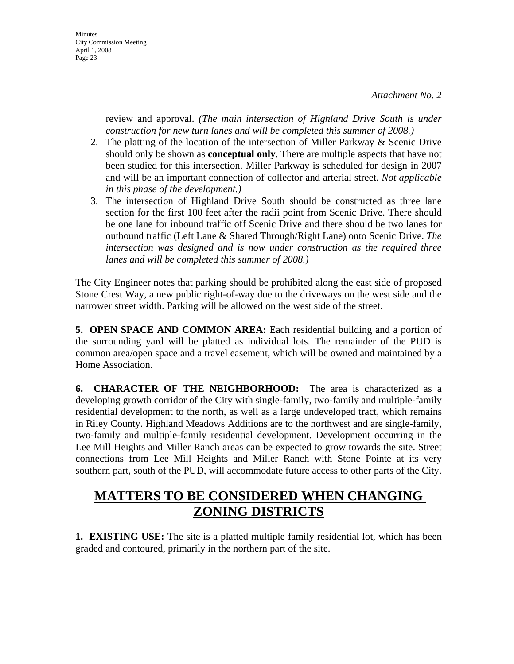Minutes City Commission Meeting April 1, 2008 Page 23

> review and approval. *(The main intersection of Highland Drive South is under construction for new turn lanes and will be completed this summer of 2008.)*

- 2. The platting of the location of the intersection of Miller Parkway & Scenic Drive should only be shown as **conceptual only**. There are multiple aspects that have not been studied for this intersection. Miller Parkway is scheduled for design in 2007 and will be an important connection of collector and arterial street. *Not applicable in this phase of the development.)*
- 3. The intersection of Highland Drive South should be constructed as three lane section for the first 100 feet after the radii point from Scenic Drive. There should be one lane for inbound traffic off Scenic Drive and there should be two lanes for outbound traffic (Left Lane & Shared Through/Right Lane) onto Scenic Drive. *The intersection was designed and is now under construction as the required three lanes and will be completed this summer of 2008.)*

The City Engineer notes that parking should be prohibited along the east side of proposed Stone Crest Way, a new public right-of-way due to the driveways on the west side and the narrower street width. Parking will be allowed on the west side of the street.

**5. OPEN SPACE AND COMMON AREA:** Each residential building and a portion of the surrounding yard will be platted as individual lots. The remainder of the PUD is common area/open space and a travel easement, which will be owned and maintained by a Home Association.

**6. CHARACTER OF THE NEIGHBORHOOD:** The area is characterized as a developing growth corridor of the City with single-family, two-family and multiple-family residential development to the north, as well as a large undeveloped tract, which remains in Riley County. Highland Meadows Additions are to the northwest and are single-family, two-family and multiple-family residential development. Development occurring in the Lee Mill Heights and Miller Ranch areas can be expected to grow towards the site. Street connections from Lee Mill Heights and Miller Ranch with Stone Pointe at its very southern part, south of the PUD, will accommodate future access to other parts of the City.

# **MATTERS TO BE CONSIDERED WHEN CHANGING ZONING DISTRICTS**

**1. EXISTING USE:** The site is a platted multiple family residential lot, which has been graded and contoured, primarily in the northern part of the site.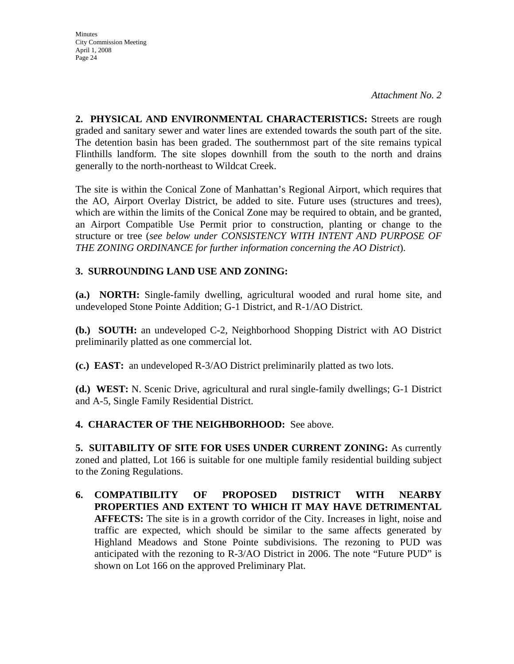*Attachment No. 2*

**2. PHYSICAL AND ENVIRONMENTAL CHARACTERISTICS:** Streets are rough graded and sanitary sewer and water lines are extended towards the south part of the site. The detention basin has been graded. The southernmost part of the site remains typical Flinthills landform. The site slopes downhill from the south to the north and drains generally to the north-northeast to Wildcat Creek.

The site is within the Conical Zone of Manhattan's Regional Airport, which requires that the AO, Airport Overlay District, be added to site. Future uses (structures and trees), which are within the limits of the Conical Zone may be required to obtain, and be granted, an Airport Compatible Use Permit prior to construction, planting or change to the structure or tree (*see below under CONSISTENCY WITH INTENT AND PURPOSE OF THE ZONING ORDINANCE for further information concerning the AO District*).

### **3. SURROUNDING LAND USE AND ZONING:**

**(a.) NORTH:** Single-family dwelling, agricultural wooded and rural home site, and undeveloped Stone Pointe Addition; G-1 District, and R-1/AO District.

**(b.) SOUTH:** an undeveloped C-2, Neighborhood Shopping District with AO District preliminarily platted as one commercial lot.

**(c.) EAST:** an undeveloped R-3/AO District preliminarily platted as two lots.

**(d.) WEST:** N. Scenic Drive, agricultural and rural single-family dwellings; G-1 District and A-5, Single Family Residential District.

### **4. CHARACTER OF THE NEIGHBORHOOD:** See above.

**5. SUITABILITY OF SITE FOR USES UNDER CURRENT ZONING:** As currently zoned and platted, Lot 166 is suitable for one multiple family residential building subject to the Zoning Regulations.

**6. COMPATIBILITY OF PROPOSED DISTRICT WITH NEARBY PROPERTIES AND EXTENT TO WHICH IT MAY HAVE DETRIMENTAL AFFECTS:** The site is in a growth corridor of the City. Increases in light, noise and traffic are expected, which should be similar to the same affects generated by Highland Meadows and Stone Pointe subdivisions. The rezoning to PUD was anticipated with the rezoning to R-3/AO District in 2006. The note "Future PUD" is shown on Lot 166 on the approved Preliminary Plat.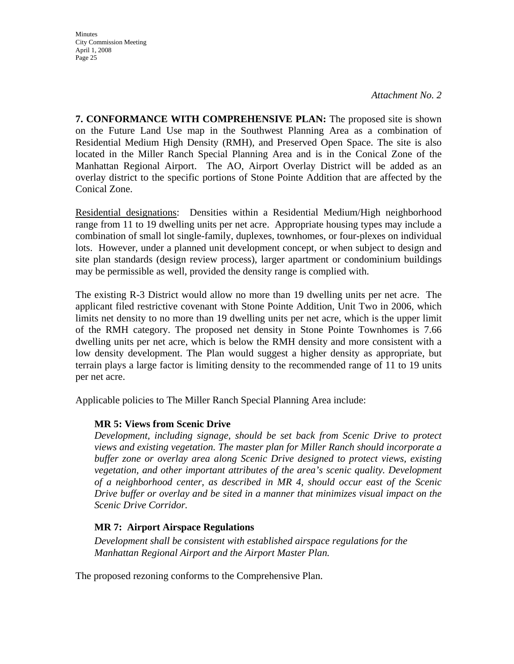*Attachment No. 2*

**7. CONFORMANCE WITH COMPREHENSIVE PLAN:** The proposed site is shown on the Future Land Use map in the Southwest Planning Area as a combination of Residential Medium High Density (RMH), and Preserved Open Space. The site is also located in the Miller Ranch Special Planning Area and is in the Conical Zone of the Manhattan Regional Airport. The AO, Airport Overlay District will be added as an overlay district to the specific portions of Stone Pointe Addition that are affected by the Conical Zone.

Residential designations: Densities within a Residential Medium/High neighborhood range from 11 to 19 dwelling units per net acre. Appropriate housing types may include a combination of small lot single-family, duplexes, townhomes, or four-plexes on individual lots. However, under a planned unit development concept, or when subject to design and site plan standards (design review process), larger apartment or condominium buildings may be permissible as well, provided the density range is complied with.

The existing R-3 District would allow no more than 19 dwelling units per net acre. The applicant filed restrictive covenant with Stone Pointe Addition, Unit Two in 2006, which limits net density to no more than 19 dwelling units per net acre, which is the upper limit of the RMH category. The proposed net density in Stone Pointe Townhomes is 7.66 dwelling units per net acre, which is below the RMH density and more consistent with a low density development. The Plan would suggest a higher density as appropriate, but terrain plays a large factor is limiting density to the recommended range of 11 to 19 units per net acre.

Applicable policies to The Miller Ranch Special Planning Area include:

### **MR 5: Views from Scenic Drive**

*Development, including signage, should be set back from Scenic Drive to protect views and existing vegetation. The master plan for Miller Ranch should incorporate a buffer zone or overlay area along Scenic Drive designed to protect views, existing vegetation, and other important attributes of the area's scenic quality. Development of a neighborhood center, as described in MR 4, should occur east of the Scenic Drive buffer or overlay and be sited in a manner that minimizes visual impact on the Scenic Drive Corridor.*

### **MR 7: Airport Airspace Regulations**

*Development shall be consistent with established airspace regulations for the Manhattan Regional Airport and the Airport Master Plan.* 

The proposed rezoning conforms to the Comprehensive Plan.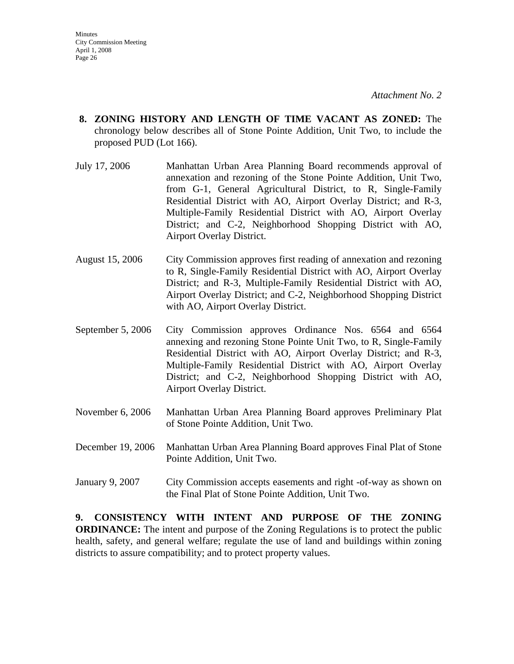- **8. ZONING HISTORY AND LENGTH OF TIME VACANT AS ZONED:** The chronology below describes all of Stone Pointe Addition, Unit Two, to include the proposed PUD (Lot 166).
- July 17, 2006 Manhattan Urban Area Planning Board recommends approval of annexation and rezoning of the Stone Pointe Addition, Unit Two, from G-1, General Agricultural District, to R, Single-Family Residential District with AO, Airport Overlay District; and R-3, Multiple-Family Residential District with AO, Airport Overlay District; and C-2, Neighborhood Shopping District with AO, Airport Overlay District.
- August 15, 2006 City Commission approves first reading of annexation and rezoning to R, Single-Family Residential District with AO, Airport Overlay District; and R-3, Multiple-Family Residential District with AO, Airport Overlay District; and C-2, Neighborhood Shopping District with AO, Airport Overlay District.
- September 5, 2006 City Commission approves Ordinance Nos. 6564 and 6564 annexing and rezoning Stone Pointe Unit Two, to R, Single-Family Residential District with AO, Airport Overlay District; and R-3, Multiple-Family Residential District with AO, Airport Overlay District; and C-2, Neighborhood Shopping District with AO, Airport Overlay District.
- November 6, 2006 Manhattan Urban Area Planning Board approves Preliminary Plat of Stone Pointe Addition, Unit Two.
- December 19, 2006 Manhattan Urban Area Planning Board approves Final Plat of Stone Pointe Addition, Unit Two.
- January 9, 2007 City Commission accepts easements and right -of-way as shown on the Final Plat of Stone Pointe Addition, Unit Two.

**9. CONSISTENCY WITH INTENT AND PURPOSE OF THE ZONING ORDINANCE:** The intent and purpose of the Zoning Regulations is to protect the public health, safety, and general welfare; regulate the use of land and buildings within zoning districts to assure compatibility; and to protect property values.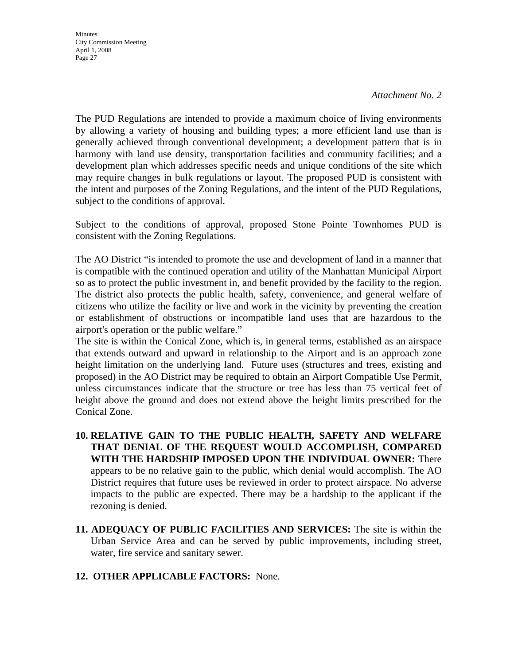**Minutes** City Commission Meeting April 1, 2008 Page 27

The PUD Regulations are intended to provide a maximum choice of living environments by allowing a variety of housing and building types; a more efficient land use than is generally achieved through conventional development; a development pattern that is in harmony with land use density, transportation facilities and community facilities; and a development plan which addresses specific needs and unique conditions of the site which may require changes in bulk regulations or layout. The proposed PUD is consistent with the intent and purposes of the Zoning Regulations, and the intent of the PUD Regulations, subject to the conditions of approval.

Subject to the conditions of approval, proposed Stone Pointe Townhomes PUD is consistent with the Zoning Regulations.

The AO District "is intended to promote the use and development of land in a manner that is compatible with the continued operation and utility of the Manhattan Municipal Airport so as to protect the public investment in, and benefit provided by the facility to the region. The district also protects the public health, safety, convenience, and general welfare of citizens who utilize the facility or live and work in the vicinity by preventing the creation or establishment of obstructions or incompatible land uses that are hazardous to the airport's operation or the public welfare."

The site is within the Conical Zone, which is, in general terms, established as an airspace that extends outward and upward in relationship to the Airport and is an approach zone height limitation on the underlying land. Future uses (structures and trees, existing and proposed) in the AO District may be required to obtain an Airport Compatible Use Permit, unless circumstances indicate that the structure or tree has less than 75 vertical feet of height above the ground and does not extend above the height limits prescribed for the Conical Zone.

- **10. RELATIVE GAIN TO THE PUBLIC HEALTH, SAFETY AND WELFARE THAT DENIAL OF THE REQUEST WOULD ACCOMPLISH, COMPARED WITH THE HARDSHIP IMPOSED UPON THE INDIVIDUAL OWNER:** There appears to be no relative gain to the public, which denial would accomplish. The AO District requires that future uses be reviewed in order to protect airspace. No adverse impacts to the public are expected. There may be a hardship to the applicant if the rezoning is denied.
- **11. ADEQUACY OF PUBLIC FACILITIES AND SERVICES:** The site is within the Urban Service Area and can be served by public improvements, including street, water, fire service and sanitary sewer.
- **12. OTHER APPLICABLE FACTORS:** None.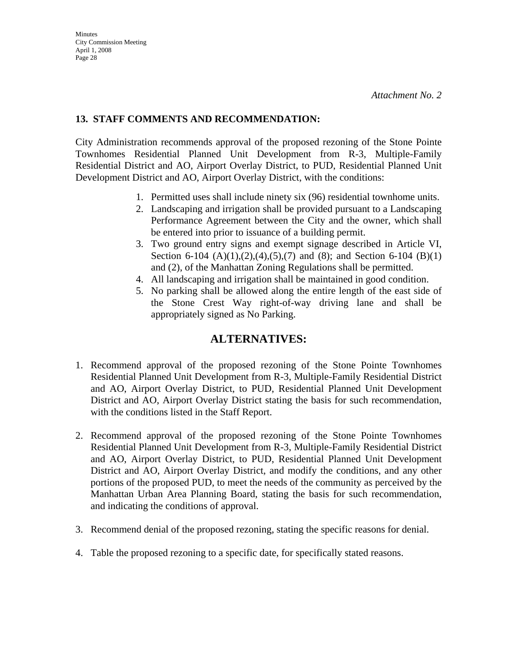### **13. STAFF COMMENTS AND RECOMMENDATION:**

City Administration recommends approval of the proposed rezoning of the Stone Pointe Townhomes Residential Planned Unit Development from R-3, Multiple-Family Residential District and AO, Airport Overlay District, to PUD, Residential Planned Unit Development District and AO, Airport Overlay District, with the conditions:

- 1. Permitted uses shall include ninety six (96) residential townhome units.
- 2. Landscaping and irrigation shall be provided pursuant to a Landscaping Performance Agreement between the City and the owner, which shall be entered into prior to issuance of a building permit.
- 3. Two ground entry signs and exempt signage described in Article VI, Section 6-104  $(A)(1),(2),(4),(5),(7)$  and  $(8)$ ; and Section 6-104  $(B)(1)$ and (2), of the Manhattan Zoning Regulations shall be permitted.
- 4. All landscaping and irrigation shall be maintained in good condition.
- 5. No parking shall be allowed along the entire length of the east side of the Stone Crest Way right-of-way driving lane and shall be appropriately signed as No Parking.

### **ALTERNATIVES:**

- 1. Recommend approval of the proposed rezoning of the Stone Pointe Townhomes Residential Planned Unit Development from R-3, Multiple-Family Residential District and AO, Airport Overlay District, to PUD, Residential Planned Unit Development District and AO, Airport Overlay District stating the basis for such recommendation, with the conditions listed in the Staff Report.
- 2. Recommend approval of the proposed rezoning of the Stone Pointe Townhomes Residential Planned Unit Development from R-3, Multiple-Family Residential District and AO, Airport Overlay District, to PUD, Residential Planned Unit Development District and AO, Airport Overlay District, and modify the conditions, and any other portions of the proposed PUD, to meet the needs of the community as perceived by the Manhattan Urban Area Planning Board, stating the basis for such recommendation, and indicating the conditions of approval.
- 3. Recommend denial of the proposed rezoning, stating the specific reasons for denial.
- 4. Table the proposed rezoning to a specific date, for specifically stated reasons.